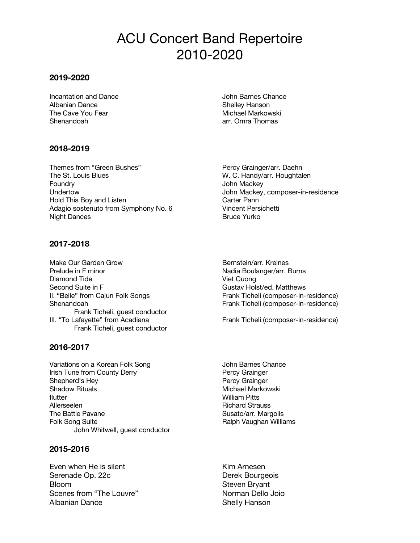# ACU Concert Band Repertoire 2010-2020

## **2019-2020**

**Incantation and Dance John Barnes Chance** Albanian Dance **Shelley Hanson** The Cave You Fear Michael Markowski Shenandoah arr. Omra Thomas

## **2018-2019**

Themes from "Green Bushes" Percy Grainger/arr. Daehn The St. Louis Blues W. C. Handy/arr. Houghtalen Foundry **Foundry Foundry CONSISTENT ASSESSED AT A SET OF A SET OF A SET OF A SET OF A SET OF A SET OF A SET OF A SET OF A SET OF A SET OF A SET OF A SET OF A SET OF A SET OF A SET OF A SET OF A SET OF A SET OF A SET OF** Undertow John Mackey, composer-in-residence Hold This Boy and Listen Carter Pann Adagio sostenuto from Symphony No. 6 Vincent Persichetti Night Dances **Bruce Yurko** Bruce Yurko

**2017-2018**

Make Our Garden Grow **Bernstein/arr.** Kreines Prelude in F minor **Nadia Boulanger/arr.** Burns Diamond Tide Viet Cuong Second Suite in F Gustav Holst/ed. Matthews II. "Belle" from Cajun Folk Songs Frank Ticheli (composer-in-residence) Shenandoah Frank Ticheli (composer-in-residence) Frank Ticheli, guest conductor III. "To Lafayette" from Acadiana Frank Ticheli (composer-in-residence) Frank Ticheli, guest conductor

### **2016-2017**

Variations on a Korean Folk Song **State State State State State State State** John Barnes Chance Irish Tune from County Derry **Percy Grainger** Percy Grainger Shepherd's Hey Percy Grainger Shadow Rituals **Michael Markowski** flutter William Pitts Allerseelen **Richard Strauss** Richard Strauss The Battle Pavane Susato/arr. Margolis Folk Song Suite **Ralph Vaughan Williams** John Whitwell, guest conductor

### **2015-2016**

Even when He is silent Kim Arnesen Serenade Op. 22c Derek Bourgeois Bloom Steven Bryant Scenes from "The Louvre" Norman Dello Joio Albanian Dance Shelly Hanson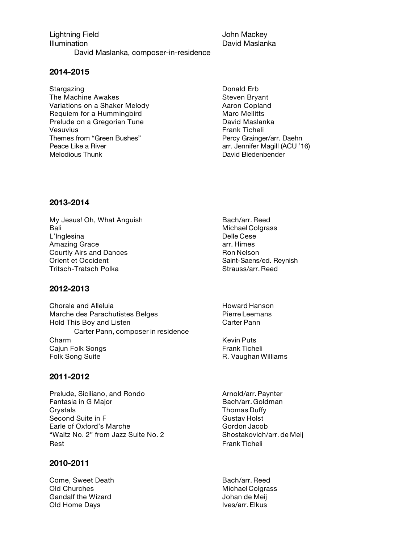Lightning Field **John Mackey** Illumination David Maslanka David Maslanka, composer-in-residence

**2014-2015**

Stargazing **Donald Erb Donald Erb** The Machine Awakes Steven Bryant Variations on a Shaker Melody Manuel Aaron Copland Requiem for a Hummingbird Marc Mellitts Prelude on a Gregorian Tune **David Maslanka** Vesuvius **Frank Ticheli** Themes from "Green Bushes" Percy Grainger/arr. Daehn Peace Like a River and the state of the state arr. Jennifer Magill (ACU '16) Melodious Thunk David Biedenbender

#### **2013-2014**

My Jesus! Oh, What Anguish Bach/arr. Reed Bali Michael Colgrass L'Inglesina Delle Cese Amazing Grace arr. Himes Courtly Airs and Dances **Ron Nelson** Ron Nelson Orient et Occident Saint-Saens/ed. Reynish Tritsch-Tratsch Polka Strauss/arr. Reed

**2012-2013**

Chorale and Alleluia **Howard Hanson** Howard Hanson Marche des Parachutistes Belges Pierre Leemans Hold This Boy and Listen Carter Pann Carter Pann, composer in residence Charm **Kevin Puts Kevin Puts** Cajun Folk Songs Frank Ticheli Folk Song Suite **R. Vaughan Williams** 

## **2011-2012**

Prelude, Siciliano, and Rondo Arnold/arr. Paynter Fantasia in G Major **Bach/arr.** Goldman Crystals **Thomas Duffy** Second Suite in F Gustav Holst Earle of Oxford's Marche Gordon Jacob "Waltz No. 2" from Jazz Suite No. 2 Shostakovich/arr. de Meij Rest Frank Ticheli

### **2010-2011**

Come, Sweet Death Bach/arr. Reed Old Churches Michael Colgrass Gandalf the Wizard Gandalf the Wizard Communisties of the United States of the United States of the United States Old Home Days **IVES/arr.** Elkus